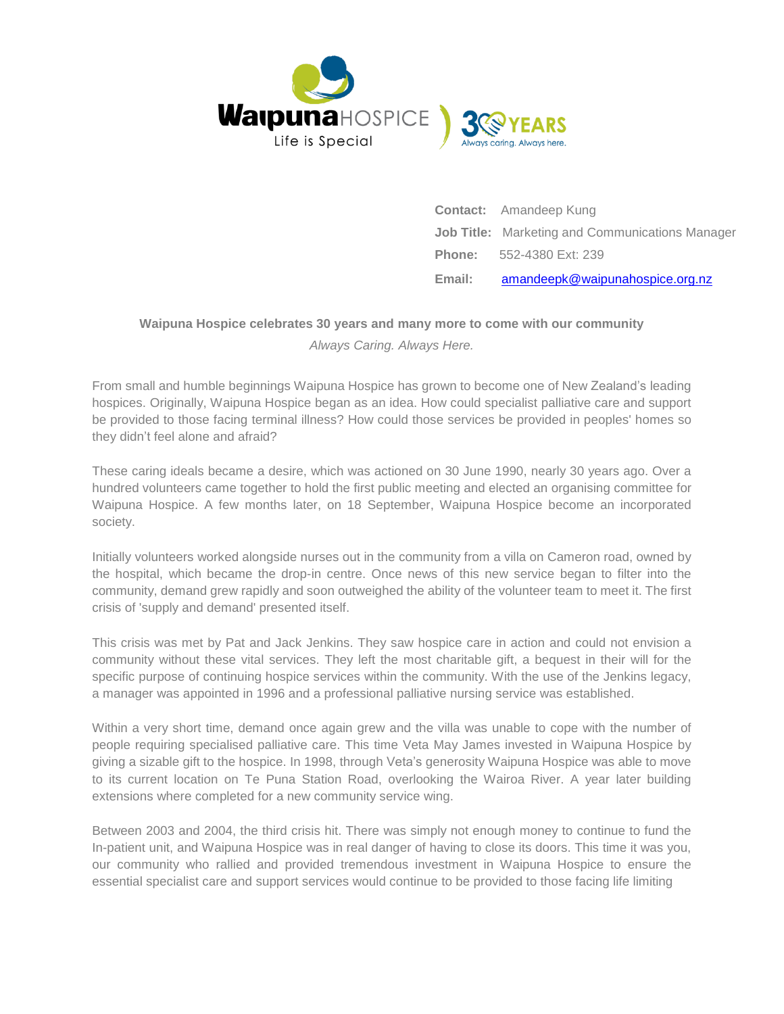

**Contact:** Amandeep Kung **Job Title:** Marketing and Communications Manager **Phone:** 552-4380 Ext: 239 **Email:** [amandeepk@waipunahospice.org.nz](mailto:amandeepk@waipunahospice.org.nz)

# **Waipuna Hospice celebrates 30 years and many more to come with our community** *Always Caring. Always Here.*

From small and humble beginnings Waipuna Hospice has grown to become one of New Zealand's leading hospices. Originally, Waipuna Hospice began as an idea. How could specialist palliative care and support be provided to those facing terminal illness? How could those services be provided in peoples' homes so they didn't feel alone and afraid?

These caring ideals became a desire, which was actioned on 30 June 1990, nearly 30 years ago. Over a hundred volunteers came together to hold the first public meeting and elected an organising committee for Waipuna Hospice. A few months later, on 18 September, Waipuna Hospice become an incorporated society.

Initially volunteers worked alongside nurses out in the community from a villa on Cameron road, owned by the hospital, which became the drop-in centre. Once news of this new service began to filter into the community, demand grew rapidly and soon outweighed the ability of the volunteer team to meet it. The first crisis of 'supply and demand' presented itself.

This crisis was met by Pat and Jack Jenkins. They saw hospice care in action and could not envision a community without these vital services. They left the most charitable gift, a bequest in their will for the specific purpose of continuing hospice services within the community. With the use of the Jenkins legacy, a manager was appointed in 1996 and a professional palliative nursing service was established.

Within a very short time, demand once again grew and the villa was unable to cope with the number of people requiring specialised palliative care. This time Veta May James invested in Waipuna Hospice by giving a sizable gift to the hospice. In 1998, through Veta's generosity Waipuna Hospice was able to move to its current location on Te Puna Station Road, overlooking the Wairoa River. A year later building extensions where completed for a new community service wing.

Between 2003 and 2004, the third crisis hit. There was simply not enough money to continue to fund the In-patient unit, and Waipuna Hospice was in real danger of having to close its doors. This time it was you, our community who rallied and provided tremendous investment in Waipuna Hospice to ensure the essential specialist care and support services would continue to be provided to those facing life limiting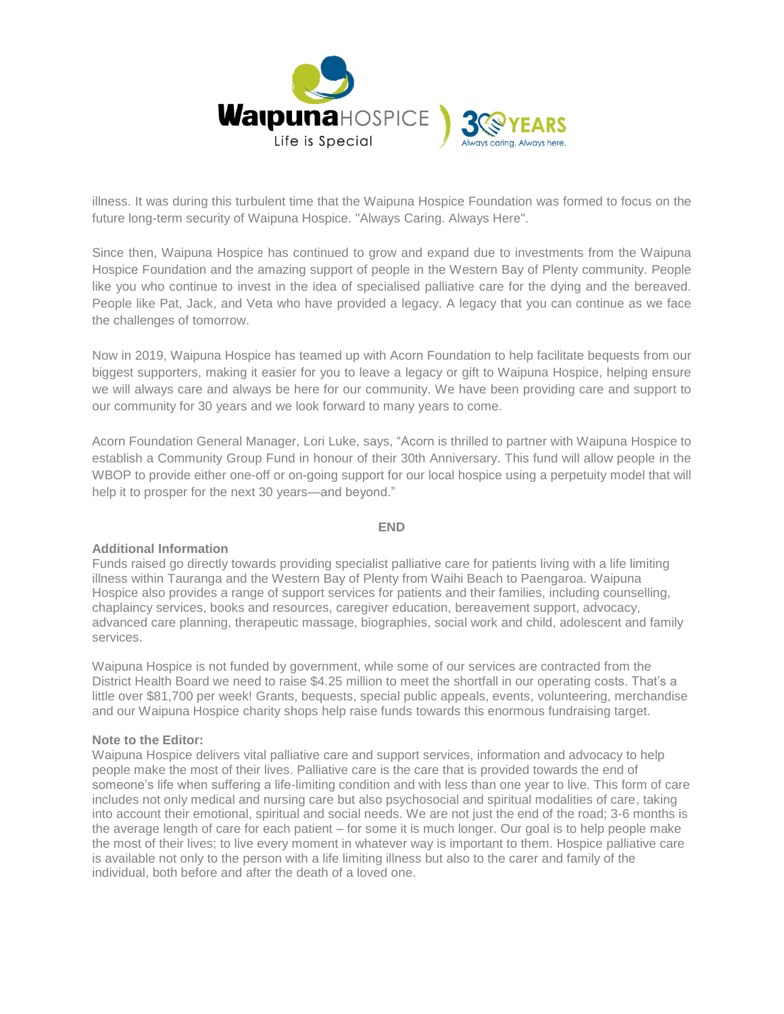

illness. It was during this turbulent time that the Waipuna Hospice Foundation was formed to focus on the future long-term security of Waipuna Hospice. "Always Caring. Always Here".

Since then, Waipuna Hospice has continued to grow and expand due to investments from the Waipuna Hospice Foundation and the amazing support of people in the Western Bay of Plenty community. People like you who continue to invest in the idea of specialised palliative care for the dying and the bereaved. People like Pat, Jack, and Veta who have provided a legacy. A legacy that you can continue as we face the challenges of tomorrow.

Now in 2019, Waipuna Hospice has teamed up with Acorn Foundation to help facilitate bequests from our biggest supporters, making it easier for you to leave a legacy or gift to Waipuna Hospice, helping ensure we will always care and always be here for our community. We have been providing care and support to our community for 30 years and we look forward to many years to come.

Acorn Foundation General Manager, Lori Luke, says, "Acorn is thrilled to partner with Waipuna Hospice to establish a Community Group Fund in honour of their 30th Anniversary. This fund will allow people in the WBOP to provide either one-off or on-going support for our local hospice using a perpetuity model that will help it to prosper for the next 30 years—and beyond."

#### **END**

## **Additional Information**

Funds raised go directly towards providing specialist palliative care for patients living with a life limiting illness within Tauranga and the Western Bay of Plenty from Waihi Beach to Paengaroa. Waipuna Hospice also provides a range of support services for patients and their families, including counselling, chaplaincy services, books and resources, caregiver education, bereavement support, advocacy, advanced care planning, therapeutic massage, biographies, social work and child, adolescent and family services.

Waipuna Hospice is not funded by government, while some of our services are contracted from the District Health Board we need to raise \$4.25 million to meet the shortfall in our operating costs. That's a little over \$81,700 per week! Grants, bequests, special public appeals, events, volunteering, merchandise and our Waipuna Hospice charity shops help raise funds towards this enormous fundraising target.

#### **Note to the Editor:**

Waipuna Hospice delivers vital palliative care and support services, information and advocacy to help people make the most of their lives. Palliative care is the care that is provided towards the end of someone's life when suffering a life-limiting condition and with less than one year to live. This form of care includes not only medical and nursing care but also psychosocial and spiritual modalities of care, taking into account their emotional, spiritual and social needs. We are not just the end of the road; 3-6 months is the average length of care for each patient – for some it is much longer. Our goal is to help people make the most of their lives; to live every moment in whatever way is important to them. Hospice palliative care is available not only to the person with a life limiting illness but also to the carer and family of the individual, both before and after the death of a loved one.